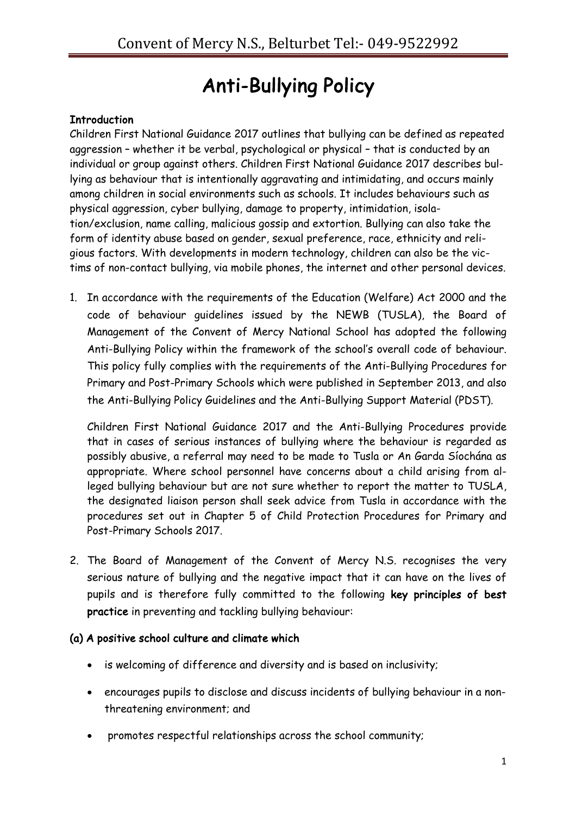# Anti-Bullying Policy

#### **Introduction**

Children First National Guidance 2017 outlines that bullying can be defined as repeated aggression – whether it be verbal, psychological or physical – that is conducted by an individual or group against others. Children First National Guidance 2017 describes bullying as behaviour that is intentionally aggravating and intimidating, and occurs mainly among children in social environments such as schools. It includes behaviours such as physical aggression, cyber bullying, damage to property, intimidation, isolation/exclusion, name calling, malicious gossip and extortion. Bullying can also take the form of identity abuse based on gender, sexual preference, race, ethnicity and religious factors. With developments in modern technology, children can also be the victims of non-contact bullying, via mobile phones, the internet and other personal devices.

1. In accordance with the requirements of the Education (Welfare) Act 2000 and the code of behaviour guidelines issued by the NEWB (TUSLA), the Board of Management of the Convent of Mercy National School has adopted the following Anti-Bullying Policy within the framework of the school's overall code of behaviour. This policy fully complies with the requirements of the Anti-Bullying Procedures for Primary and Post-Primary Schools which were published in September 2013, and also the Anti-Bullying Policy Guidelines and the Anti-Bullying Support Material (PDST).

Children First National Guidance 2017 and the Anti-Bullying Procedures provide that in cases of serious instances of bullying where the behaviour is regarded as possibly abusive, a referral may need to be made to Tusla or An Garda Síochána as appropriate. Where school personnel have concerns about a child arising from alleged bullying behaviour but are not sure whether to report the matter to TUSLA, the designated liaison person shall seek advice from Tusla in accordance with the procedures set out in Chapter 5 of Child Protection Procedures for Primary and Post-Primary Schools 2017.

2. The Board of Management of the Convent of Mercy N.S. recognises the very serious nature of bullying and the negative impact that it can have on the lives of pupils and is therefore fully committed to the following key principles of best practice in preventing and tackling bullying behaviour:

#### (a) A positive school culture and climate which

- is welcoming of difference and diversity and is based on inclusivity;
- encourages pupils to disclose and discuss incidents of bullying behaviour in a nonthreatening environment; and
- promotes respectful relationships across the school community;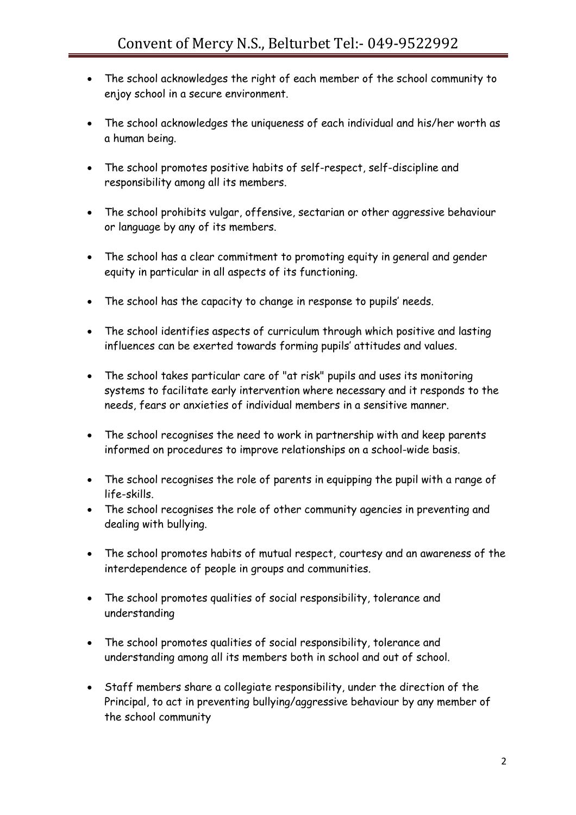- The school acknowledges the right of each member of the school community to enjoy school in a secure environment.
- The school acknowledges the uniqueness of each individual and his/her worth as a human being.
- The school promotes positive habits of self-respect, self-discipline and responsibility among all its members.
- The school prohibits vulgar, offensive, sectarian or other aggressive behaviour or language by any of its members.
- The school has a clear commitment to promoting equity in general and gender equity in particular in all aspects of its functioning.
- The school has the capacity to change in response to pupils' needs.
- The school identifies aspects of curriculum through which positive and lasting influences can be exerted towards forming pupils' attitudes and values.
- The school takes particular care of "at risk" pupils and uses its monitoring systems to facilitate early intervention where necessary and it responds to the needs, fears or anxieties of individual members in a sensitive manner.
- The school recognises the need to work in partnership with and keep parents informed on procedures to improve relationships on a school-wide basis.
- The school recognises the role of parents in equipping the pupil with a range of life-skills.
- The school recognises the role of other community agencies in preventing and dealing with bullying.
- The school promotes habits of mutual respect, courtesy and an awareness of the interdependence of people in groups and communities.
- The school promotes qualities of social responsibility, tolerance and understanding
- The school promotes qualities of social responsibility, tolerance and understanding among all its members both in school and out of school.
- Staff members share a collegiate responsibility, under the direction of the Principal, to act in preventing bullying/aggressive behaviour by any member of the school community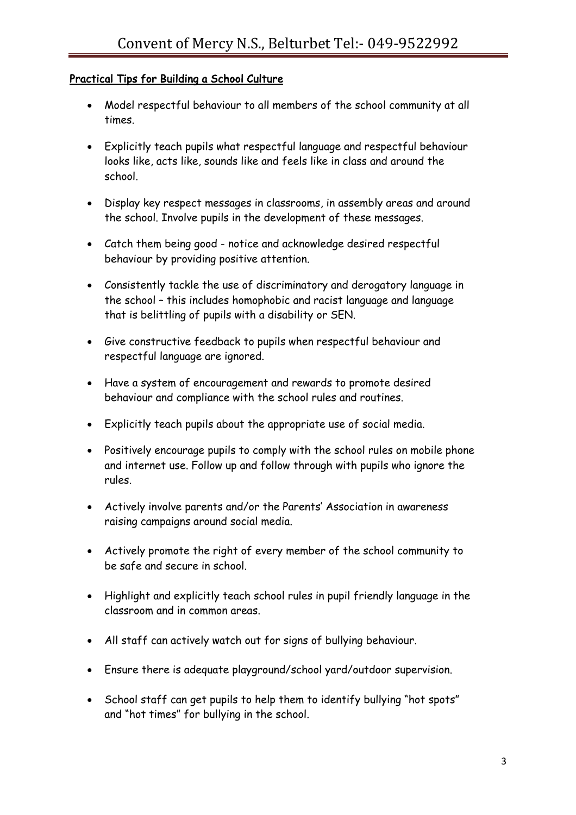#### Practical Tips for Building a School Culture

- Model respectful behaviour to all members of the school community at all times.
- Explicitly teach pupils what respectful language and respectful behaviour looks like, acts like, sounds like and feels like in class and around the school.
- Display key respect messages in classrooms, in assembly areas and around the school. Involve pupils in the development of these messages.
- Catch them being good notice and acknowledge desired respectful behaviour by providing positive attention.
- Consistently tackle the use of discriminatory and derogatory language in the school – this includes homophobic and racist language and language that is belittling of pupils with a disability or SEN.
- Give constructive feedback to pupils when respectful behaviour and respectful language are ignored.
- Have a system of encouragement and rewards to promote desired behaviour and compliance with the school rules and routines.
- Explicitly teach pupils about the appropriate use of social media.
- Positively encourage pupils to comply with the school rules on mobile phone and internet use. Follow up and follow through with pupils who ignore the rules.
- Actively involve parents and/or the Parents' Association in awareness raising campaigns around social media.
- Actively promote the right of every member of the school community to be safe and secure in school.
- Highlight and explicitly teach school rules in pupil friendly language in the classroom and in common areas.
- All staff can actively watch out for signs of bullying behaviour.
- Ensure there is adequate playground/school yard/outdoor supervision.
- School staff can get pupils to help them to identify bullying "hot spots" and "hot times" for bullying in the school.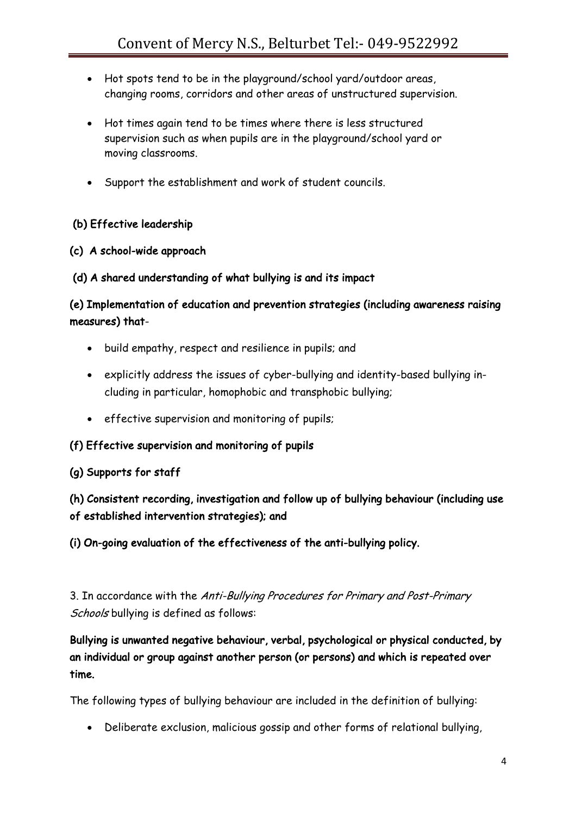- Hot spots tend to be in the playground/school yard/outdoor areas, changing rooms, corridors and other areas of unstructured supervision.
- Hot times again tend to be times where there is less structured supervision such as when pupils are in the playground/school yard or moving classrooms.
- Support the establishment and work of student councils.

# (b) Effective leadership

#### (c) A school-wide approach

#### (d) A shared understanding of what bullying is and its impact

# (e) Implementation of education and prevention strategies (including awareness raising measures) that-

- build empathy, respect and resilience in pupils; and
- explicitly address the issues of cyber-bullying and identity-based bullying including in particular, homophobic and transphobic bullying;
- effective supervision and monitoring of pupils;

#### (f) Effective supervision and monitoring of pupils

#### (g) Supports for staff

# (h) Consistent recording, investigation and follow up of bullying behaviour (including use of established intervention strategies); and

(i) On-going evaluation of the effectiveness of the anti-bullying policy.

# 3. In accordance with the Anti-Bullying Procedures for Primary and Post-Primary Schools bullying is defined as follows:

# Bullying is unwanted negative behaviour, verbal, psychological or physical conducted, by an individual or group against another person (or persons) and which is repeated over time.

The following types of bullying behaviour are included in the definition of bullying:

• Deliberate exclusion, malicious gossip and other forms of relational bullying,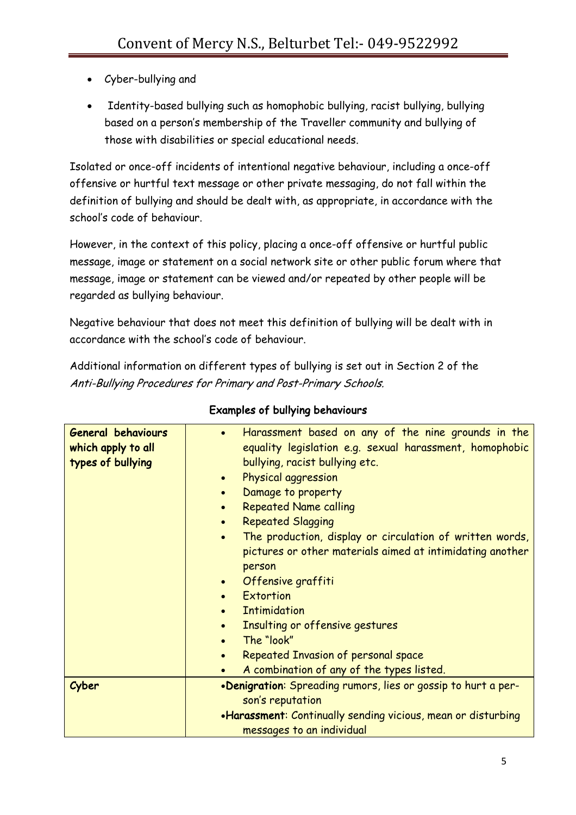- Cyber-bullying and
- Identity-based bullying such as homophobic bullying, racist bullying, bullying based on a person's membership of the Traveller community and bullying of those with disabilities or special educational needs.

Isolated or once-off incidents of intentional negative behaviour, including a once-off offensive or hurtful text message or other private messaging, do not fall within the definition of bullying and should be dealt with, as appropriate, in accordance with the school's code of behaviour.

However, in the context of this policy, placing a once-off offensive or hurtful public message, image or statement on a social network site or other public forum where that message, image or statement can be viewed and/or repeated by other people will be regarded as bullying behaviour.

Negative behaviour that does not meet this definition of bullying will be dealt with in accordance with the school's code of behaviour.

Additional information on different types of bullying is set out in Section 2 of the Anti-Bullying Procedures for Primary and Post-Primary Schools.

| General behaviours<br>which apply to all<br>types of bullying | Harassment based on any of the nine grounds in the<br>$\bullet$<br>equality legislation e.g. sexual harassment, homophobic<br>bullying, racist bullying etc.<br>Physical aggression<br>$\bullet$<br>Damage to property<br>$\bullet$<br><b>Repeated Name calling</b><br>$\bullet$<br><b>Repeated Slagging</b><br>$\bullet$<br>The production, display or circulation of written words,<br>pictures or other materials aimed at intimidating another<br>person<br>Offensive graffiti<br>$\bullet$<br>Extortion<br><b>Intimidation</b><br>$\bullet$<br>Insulting or offensive gestures<br>$\bullet$<br>The "look"<br>$\bullet$<br>Repeated Invasion of personal space<br>$\bullet$<br>A combination of any of the types listed. |
|---------------------------------------------------------------|------------------------------------------------------------------------------------------------------------------------------------------------------------------------------------------------------------------------------------------------------------------------------------------------------------------------------------------------------------------------------------------------------------------------------------------------------------------------------------------------------------------------------------------------------------------------------------------------------------------------------------------------------------------------------------------------------------------------------|
| Cyber                                                         | .Denigration: Spreading rumors, lies or gossip to hurt a per-<br>son's reputation<br>.Harassment: Continually sending vicious, mean or disturbing<br>messages to an individual                                                                                                                                                                                                                                                                                                                                                                                                                                                                                                                                               |

#### Examples of bullying behaviours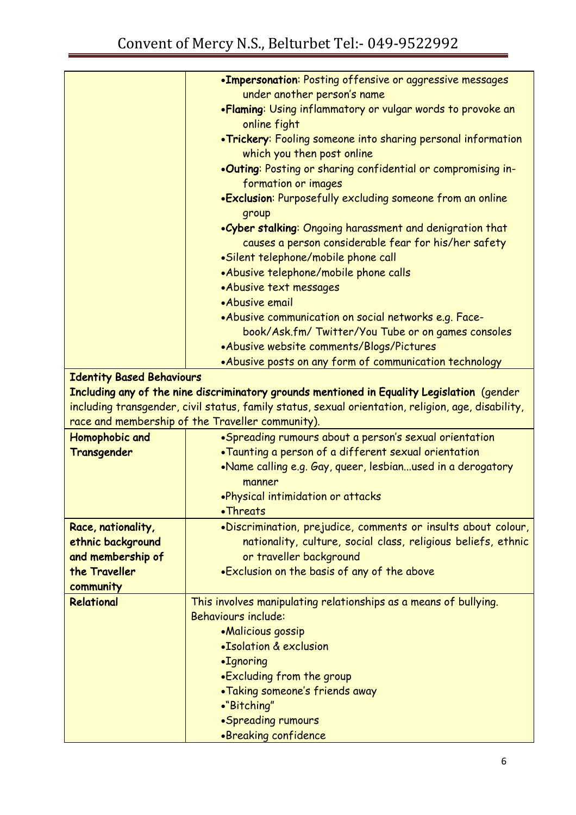|                                  | . Impersonation: Posting offensive or aggressive messages                                                        |  |  |
|----------------------------------|------------------------------------------------------------------------------------------------------------------|--|--|
|                                  | under another person's name                                                                                      |  |  |
|                                  | .Flaming: Using inflammatory or vulgar words to provoke an                                                       |  |  |
|                                  | online fight                                                                                                     |  |  |
|                                  | .Trickery: Fooling someone into sharing personal information                                                     |  |  |
|                                  | which you then post online                                                                                       |  |  |
|                                  | .Outing: Posting or sharing confidential or compromising in-                                                     |  |  |
|                                  | formation or images                                                                                              |  |  |
|                                  | .Exclusion: Purposefully excluding someone from an online<br>group                                               |  |  |
|                                  | .Cyber stalking: Ongoing harassment and denigration that<br>causes a person considerable fear for his/her safety |  |  |
|                                  | •Silent telephone/mobile phone call                                                                              |  |  |
|                                  | •Abusive telephone/mobile phone calls                                                                            |  |  |
|                                  | •Abusive text messages                                                                                           |  |  |
|                                  | •Abusive email                                                                                                   |  |  |
|                                  | •Abusive communication on social networks e.g. Face-                                                             |  |  |
|                                  | book/Ask.fm/ Twitter/You Tube or on games consoles                                                               |  |  |
|                                  | •Abusive website comments/Blogs/Pictures                                                                         |  |  |
|                                  | .Abusive posts on any form of communication technology                                                           |  |  |
| <b>Identity Based Behaviours</b> |                                                                                                                  |  |  |
|                                  | Including any of the nine discriminatory grounds mentioned in Equality Legislation (gender                       |  |  |
|                                  | including transgender, civil status, family status, sexual orientation, religion, age, disability,               |  |  |
|                                  | race and membership of the Traveller community).                                                                 |  |  |
| Homophobic and                   | ·Spreading rumours about a person's sexual orientation                                                           |  |  |
| Transgender                      | .Taunting a person of a different sexual orientation                                                             |  |  |
|                                  | •Name calling e.g. Gay, queer, lesbianused in a derogatory                                                       |  |  |
|                                  | manner                                                                                                           |  |  |
|                                  | .Physical intimidation or attacks                                                                                |  |  |
|                                  | • Threats                                                                                                        |  |  |
| Race, nationality,               | .Discrimination, prejudice, comments or insults about colour,                                                    |  |  |
| ethnic background                | nationality, culture, social class, religious beliefs, ethnic                                                    |  |  |
| and membership of                | or traveller background                                                                                          |  |  |
| the Traveller                    | .Exclusion on the basis of any of the above                                                                      |  |  |
| community                        |                                                                                                                  |  |  |
| Relational                       | This involves manipulating relationships as a means of bullying.                                                 |  |  |
|                                  | <b>Behaviours include:</b>                                                                                       |  |  |
|                                  | •Malicious gossip                                                                                                |  |  |
|                                  | •Isolation & exclusion                                                                                           |  |  |
|                                  | •Ignoring                                                                                                        |  |  |
|                                  | .Excluding from the group                                                                                        |  |  |
|                                  | • Taking someone's friends away                                                                                  |  |  |
|                                  |                                                                                                                  |  |  |
|                                  | ·"Bitching"                                                                                                      |  |  |
|                                  | •Spreading rumours<br>•Breaking confidence                                                                       |  |  |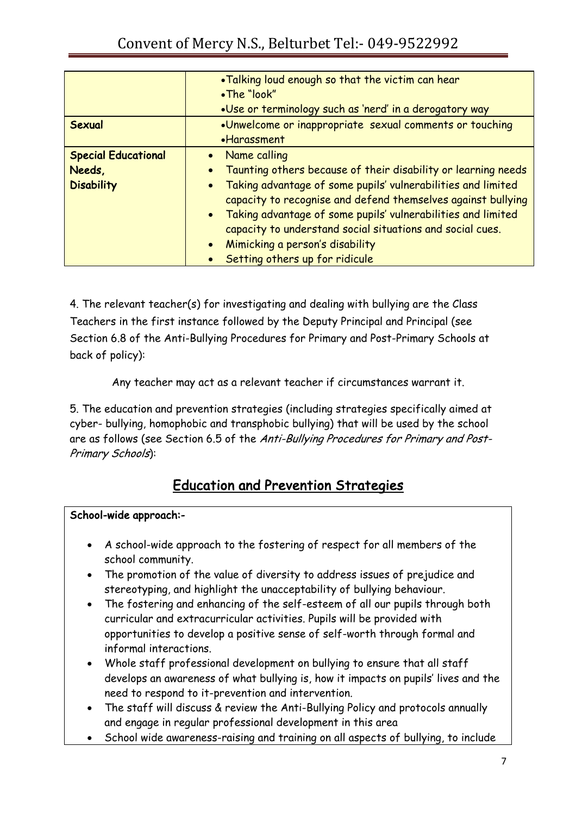|                            | .Talking loud enough so that the victim can hear<br>•The "look"<br>.Use or terminology such as 'nerd' in a derogatory way                 |  |
|----------------------------|-------------------------------------------------------------------------------------------------------------------------------------------|--|
| <b>Sexual</b>              | .Unwelcome or inappropriate sexual comments or touching                                                                                   |  |
|                            | •Harassment                                                                                                                               |  |
| <b>Special Educational</b> | • Name calling                                                                                                                            |  |
| Needs,                     | Taunting others because of their disability or learning needs                                                                             |  |
| <b>Disability</b>          | Taking advantage of some pupils' vulnerabilities and limited<br>$\bullet$<br>capacity to recognise and defend themselves against bullying |  |
|                            | Taking advantage of some pupils' vulnerabilities and limited<br>capacity to understand social situations and social cues.                 |  |
|                            | • Mimicking a person's disability                                                                                                         |  |
|                            | Setting others up for ridicule                                                                                                            |  |

4. The relevant teacher(s) for investigating and dealing with bullying are the Class Teachers in the first instance followed by the Deputy Principal and Principal (see Section 6.8 of the Anti-Bullying Procedures for Primary and Post-Primary Schools at back of policy):

Any teacher may act as a relevant teacher if circumstances warrant it.

5. The education and prevention strategies (including strategies specifically aimed at cyber- bullying, homophobic and transphobic bullying) that will be used by the school are as follows (see Section 6.5 of the Anti-Bullying Procedures for Primary and Post-Primary Schools):

# Education and Prevention Strategies

# School-wide approach:-

- A school-wide approach to the fostering of respect for all members of the school community.
- The promotion of the value of diversity to address issues of prejudice and stereotyping, and highlight the unacceptability of bullying behaviour.
- The fostering and enhancing of the self-esteem of all our pupils through both curricular and extracurricular activities. Pupils will be provided with opportunities to develop a positive sense of self-worth through formal and informal interactions.
- Whole staff professional development on bullying to ensure that all staff develops an awareness of what bullying is, how it impacts on pupils' lives and the need to respond to it-prevention and intervention.
- The staff will discuss & review the Anti-Bullying Policy and protocols annually and engage in regular professional development in this area
- School wide awareness-raising and training on all aspects of bullying, to include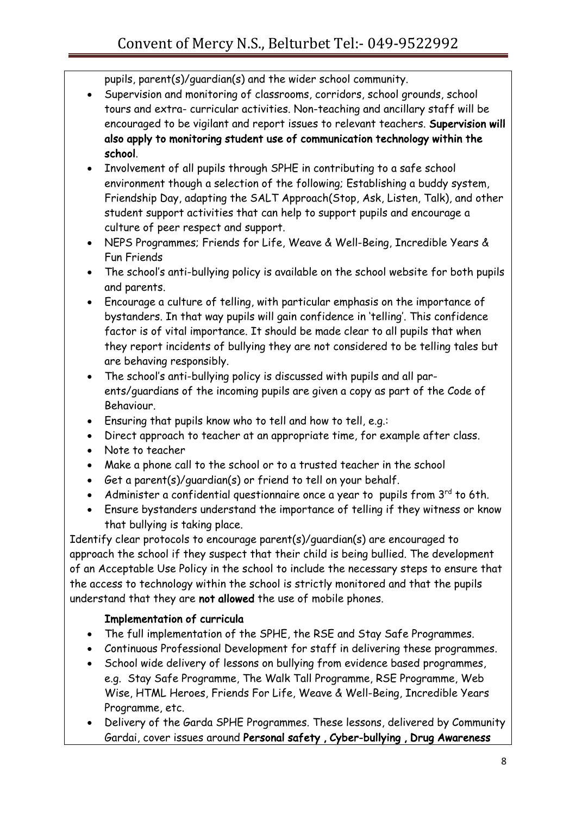pupils, parent(s)/guardian(s) and the wider school community.

- Supervision and monitoring of classrooms, corridors, school grounds, school tours and extra- curricular activities. Non-teaching and ancillary staff will be encouraged to be vigilant and report issues to relevant teachers. Supervision will also apply to monitoring student use of communication technology within the school.
- Involvement of all pupils through SPHE in contributing to a safe school environment though a selection of the following; Establishing a buddy system, Friendship Day, adapting the SALT Approach(Stop, Ask, Listen, Talk), and other student support activities that can help to support pupils and encourage a culture of peer respect and support.
- NEPS Programmes; Friends for Life, Weave & Well-Being, Incredible Years & Fun Friends
- The school's anti-bullying policy is available on the school website for both pupils and parents.
- Encourage a culture of telling, with particular emphasis on the importance of bystanders. In that way pupils will gain confidence in 'telling'. This confidence factor is of vital importance. It should be made clear to all pupils that when they report incidents of bullying they are not considered to be telling tales but are behaving responsibly.
- The school's anti-bullying policy is discussed with pupils and all parents/guardians of the incoming pupils are given a copy as part of the Code of Behaviour.
- Ensuring that pupils know who to tell and how to tell, e.g.:
- Direct approach to teacher at an appropriate time, for example after class.
- Note to teacher
- Make a phone call to the school or to a trusted teacher in the school
- Get a parent(s)/guardian(s) or friend to tell on your behalf.
- Administer a confidential questionnaire once a year to pupils from  $3^{rd}$  to 6th.
- Ensure bystanders understand the importance of telling if they witness or know that bullying is taking place.

Identify clear protocols to encourage parent(s)/guardian(s) are encouraged to approach the school if they suspect that their child is being bullied. The development of an Acceptable Use Policy in the school to include the necessary steps to ensure that the access to technology within the school is strictly monitored and that the pupils understand that they are not allowed the use of mobile phones.

# Implementation of curricula

- The full implementation of the SPHE, the RSE and Stay Safe Programmes.
- Continuous Professional Development for staff in delivering these programmes.
- School wide delivery of lessons on bullying from evidence based programmes, e.g. Stay Safe Programme, The Walk Tall Programme, RSE Programme, Web Wise, HTML Heroes, Friends For Life, Weave & Well-Being, Incredible Years Programme, etc.
- Delivery of the Garda SPHE Programmes. These lessons, delivered by Community Gardai, cover issues around Personal safety , Cyber-bullying , Drug Awareness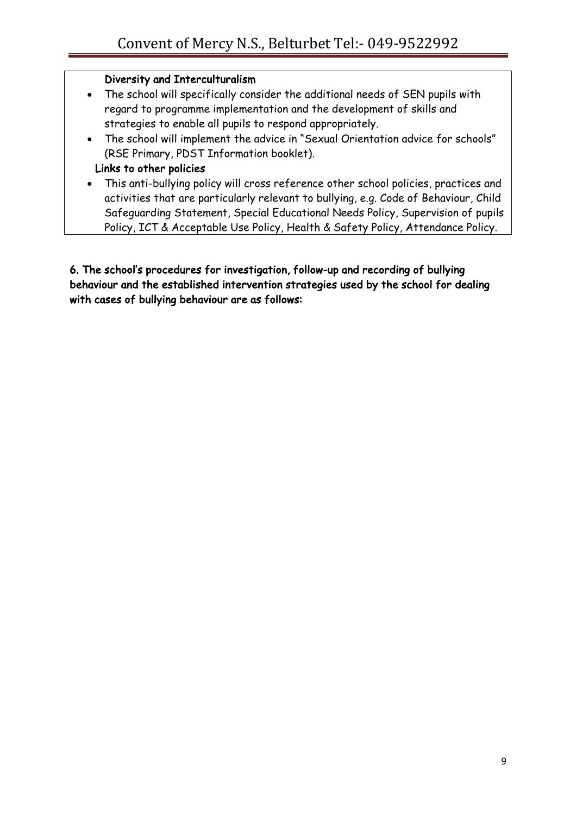#### Diversity and Interculturalism

- The school will specifically consider the additional needs of SEN pupils with regard to programme implementation and the development of skills and strategies to enable all pupils to respond appropriately.
- The school will implement the advice in "Sexual Orientation advice for schools" (RSE Primary, PDST Information booklet).

#### Links to other policies

• This anti-bullying policy will cross reference other school policies, practices and activities that are particularly relevant to bullying, e.g. Code of Behaviour, Child Safeguarding Statement, Special Educational Needs Policy, Supervision of pupils Policy, ICT & Acceptable Use Policy, Health & Safety Policy, Attendance Policy.

6. The school's procedures for investigation, follow-up and recording of bullying behaviour and the established intervention strategies used by the school for dealing with cases of bullying behaviour are as follows: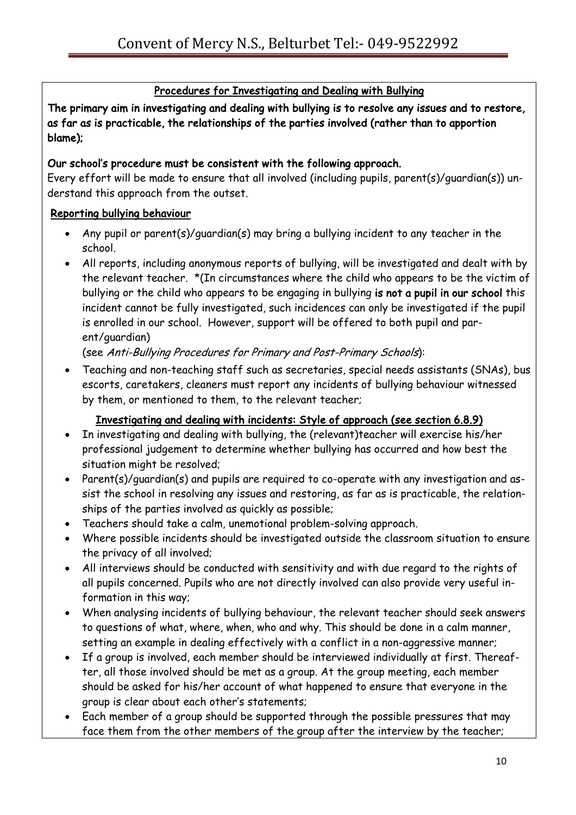# Procedures for Investigating and Dealing with Bullying

The primary aim in investigating and dealing with bullying is to resolve any issues and to restore, as far as is practicable, the relationships of the parties involved (rather than to apportion blame);

# Our school's procedure must be consistent with the following approach.

Every effort will be made to ensure that all involved (including pupils, parent(s)/guardian(s)) understand this approach from the outset.

# Reporting bullying behaviour

- Any pupil or parent(s)/guardian(s) may bring a bullying incident to any teacher in the school.
- All reports, including anonymous reports of bullying, will be investigated and dealt with by the relevant teacher. \*(In circumstances where the child who appears to be the victim of bullying or the child who appears to be engaging in bullying is not a pupil in our school this incident cannot be fully investigated, such incidences can only be investigated if the pupil is enrolled in our school. However, support will be offered to both pupil and parent/guardian)

(see Anti-Bullying Procedures for Primary and Post-Primary Schools):

• Teaching and non-teaching staff such as secretaries, special needs assistants (SNAs), bus escorts, caretakers, cleaners must report any incidents of bullying behaviour witnessed by them, or mentioned to them, to the relevant teacher;

# Investigating and dealing with incidents: Style of approach (see section 6.8.9)

- In investigating and dealing with bullying, the (relevant)teacher will exercise his/her professional judgement to determine whether bullying has occurred and how best the situation might be resolved;
- Parent(s)/guardian(s) and pupils are required to co-operate with any investigation and assist the school in resolving any issues and restoring, as far as is practicable, the relationships of the parties involved as quickly as possible;
- Teachers should take a calm, unemotional problem-solving approach.
- Where possible incidents should be investigated outside the classroom situation to ensure the privacy of all involved;
- All interviews should be conducted with sensitivity and with due regard to the rights of all pupils concerned. Pupils who are not directly involved can also provide very useful information in this way;
- When analysing incidents of bullying behaviour, the relevant teacher should seek answers to questions of what, where, when, who and why. This should be done in a calm manner, setting an example in dealing effectively with a conflict in a non-aggressive manner;
- If a group is involved, each member should be interviewed individually at first. Thereafter, all those involved should be met as a group. At the group meeting, each member should be asked for his/her account of what happened to ensure that everyone in the group is clear about each other's statements;
- Each member of a group should be supported through the possible pressures that may face them from the other members of the group after the interview by the teacher;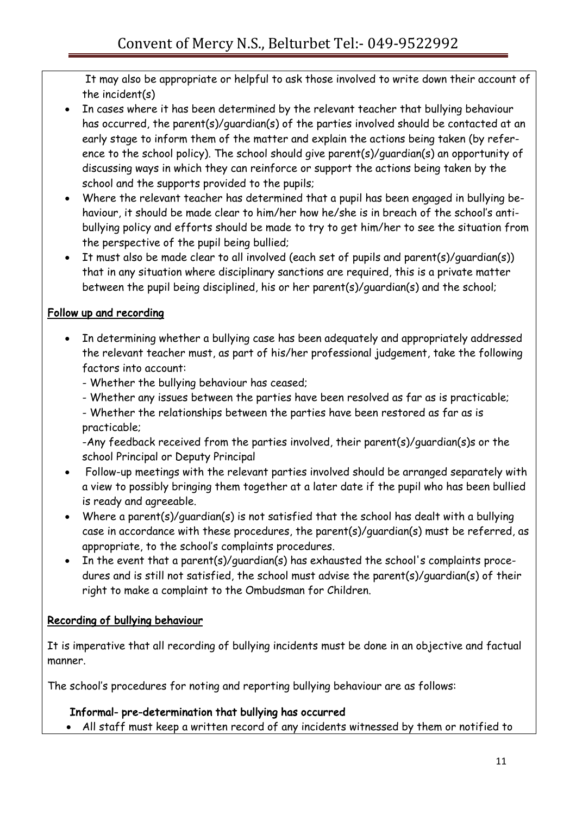It may also be appropriate or helpful to ask those involved to write down their account of the incident(s)

- In cases where it has been determined by the relevant teacher that bullying behaviour has occurred, the parent(s)/guardian(s) of the parties involved should be contacted at an early stage to inform them of the matter and explain the actions being taken (by reference to the school policy). The school should give parent(s)/guardian(s) an opportunity of discussing ways in which they can reinforce or support the actions being taken by the school and the supports provided to the pupils;
- Where the relevant teacher has determined that a pupil has been engaged in bullying behaviour, it should be made clear to him/her how he/she is in breach of the school's antibullying policy and efforts should be made to try to get him/her to see the situation from the perspective of the pupil being bullied;
- It must also be made clear to all involved (each set of pupils and parent(s)/quardian(s)) that in any situation where disciplinary sanctions are required, this is a private matter between the pupil being disciplined, his or her parent(s)/guardian(s) and the school;

#### Follow up and recording

- In determining whether a bullying case has been adequately and appropriately addressed the relevant teacher must, as part of his/her professional judgement, take the following factors into account:
	- Whether the bullying behaviour has ceased;
	- Whether any issues between the parties have been resolved as far as is practicable;
	- Whether the relationships between the parties have been restored as far as is practicable;

-Any feedback received from the parties involved, their parent(s)/guardian(s)s or the school Principal or Deputy Principal

- Follow-up meetings with the relevant parties involved should be arranged separately with a view to possibly bringing them together at a later date if the pupil who has been bullied is ready and agreeable.
- Where a parent(s)/guardian(s) is not satisfied that the school has dealt with a bullying case in accordance with these procedures, the parent(s)/guardian(s) must be referred, as appropriate, to the school's complaints procedures.
- In the event that a parent(s)/guardian(s) has exhausted the school's complaints procedures and is still not satisfied, the school must advise the parent(s)/guardian(s) of their right to make a complaint to the Ombudsman for Children.

# Recording of bullying behaviour

It is imperative that all recording of bullying incidents must be done in an objective and factual manner.

The school's procedures for noting and reporting bullying behaviour are as follows:

#### Informal- pre-determination that bullying has occurred

• All staff must keep a written record of any incidents witnessed by them or notified to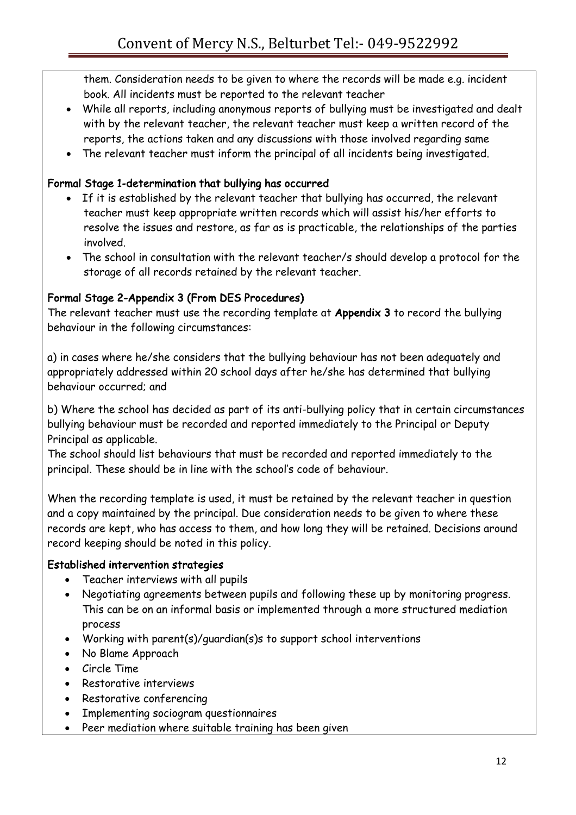them. Consideration needs to be given to where the records will be made e.g. incident book. All incidents must be reported to the relevant teacher

- While all reports, including anonymous reports of bullying must be investigated and dealt with by the relevant teacher, the relevant teacher must keep a written record of the reports, the actions taken and any discussions with those involved regarding same
- The relevant teacher must inform the principal of all incidents being investigated.

#### Formal Stage 1-determination that bullying has occurred

- If it is established by the relevant teacher that bullying has occurred, the relevant teacher must keep appropriate written records which will assist his/her efforts to resolve the issues and restore, as far as is practicable, the relationships of the parties involved.
- The school in consultation with the relevant teacher/s should develop a protocol for the storage of all records retained by the relevant teacher.

#### Formal Stage 2-Appendix 3 (From DES Procedures)

The relevant teacher must use the recording template at Appendix 3 to record the bullying behaviour in the following circumstances:

a) in cases where he/she considers that the bullying behaviour has not been adequately and appropriately addressed within 20 school days after he/she has determined that bullying behaviour occurred; and

b) Where the school has decided as part of its anti-bullying policy that in certain circumstances bullying behaviour must be recorded and reported immediately to the Principal or Deputy Principal as applicable.

The school should list behaviours that must be recorded and reported immediately to the principal. These should be in line with the school's code of behaviour.

When the recording template is used, it must be retained by the relevant teacher in question and a copy maintained by the principal. Due consideration needs to be given to where these records are kept, who has access to them, and how long they will be retained. Decisions around record keeping should be noted in this policy.

#### Established intervention strategies

- Teacher interviews with all pupils
- Negotiating agreements between pupils and following these up by monitoring progress. This can be on an informal basis or implemented through a more structured mediation process
- Working with parent(s)/guardian(s)s to support school interventions
- No Blame Approach
- Circle Time
- Restorative interviews
- Restorative conferencing
- Implementing sociogram questionnaires
- Peer mediation where suitable training has been given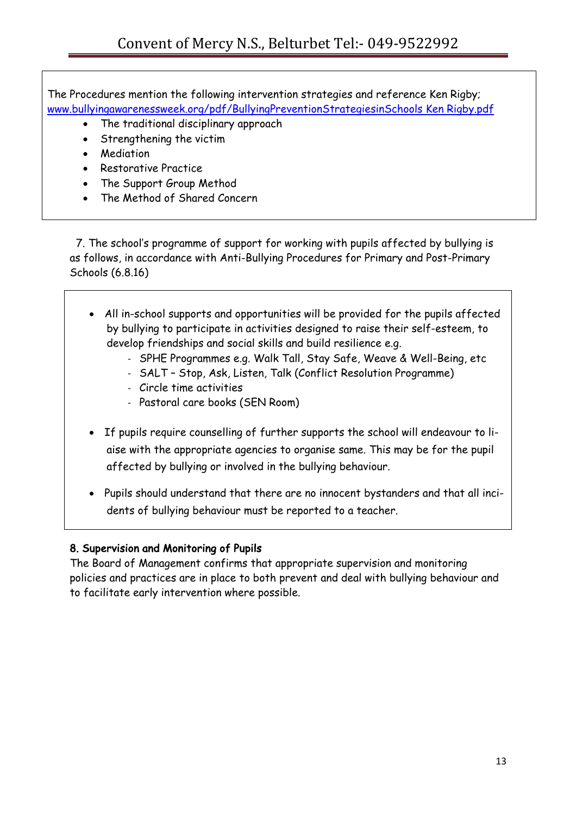The Procedures mention the following intervention strategies and reference Ken Rigby; www.bullyingawarenessweek.org/pdf/BullyingPreventionStrategiesinSchools Ken Rigby.pdf

- The traditional disciplinary approach
- Strengthening the victim
- Mediation
- Restorative Practice
- The Support Group Method
- The Method of Shared Concern

 7. The school's programme of support for working with pupils affected by bullying is as follows, in accordance with Anti-Bullying Procedures for Primary and Post-Primary Schools (6.8.16)

- All in-school supports and opportunities will be provided for the pupils affected by bullying to participate in activities designed to raise their self-esteem, to develop friendships and social skills and build resilience e.g.
	- SPHE Programmes e.g. Walk Tall, Stay Safe, Weave & Well-Being, etc
	- SALT Stop, Ask, Listen, Talk (Conflict Resolution Programme)
	- Circle time activities
	- Pastoral care books (SEN Room)
- If pupils require counselling of further supports the school will endeavour to liaise with the appropriate agencies to organise same. This may be for the pupil affected by bullying or involved in the bullying behaviour.
- Pupils should understand that there are no innocent bystanders and that all incidents of bullying behaviour must be reported to a teacher.

# 8. Supervision and Monitoring of Pupils

The Board of Management confirms that appropriate supervision and monitoring policies and practices are in place to both prevent and deal with bullying behaviour and to facilitate early intervention where possible.